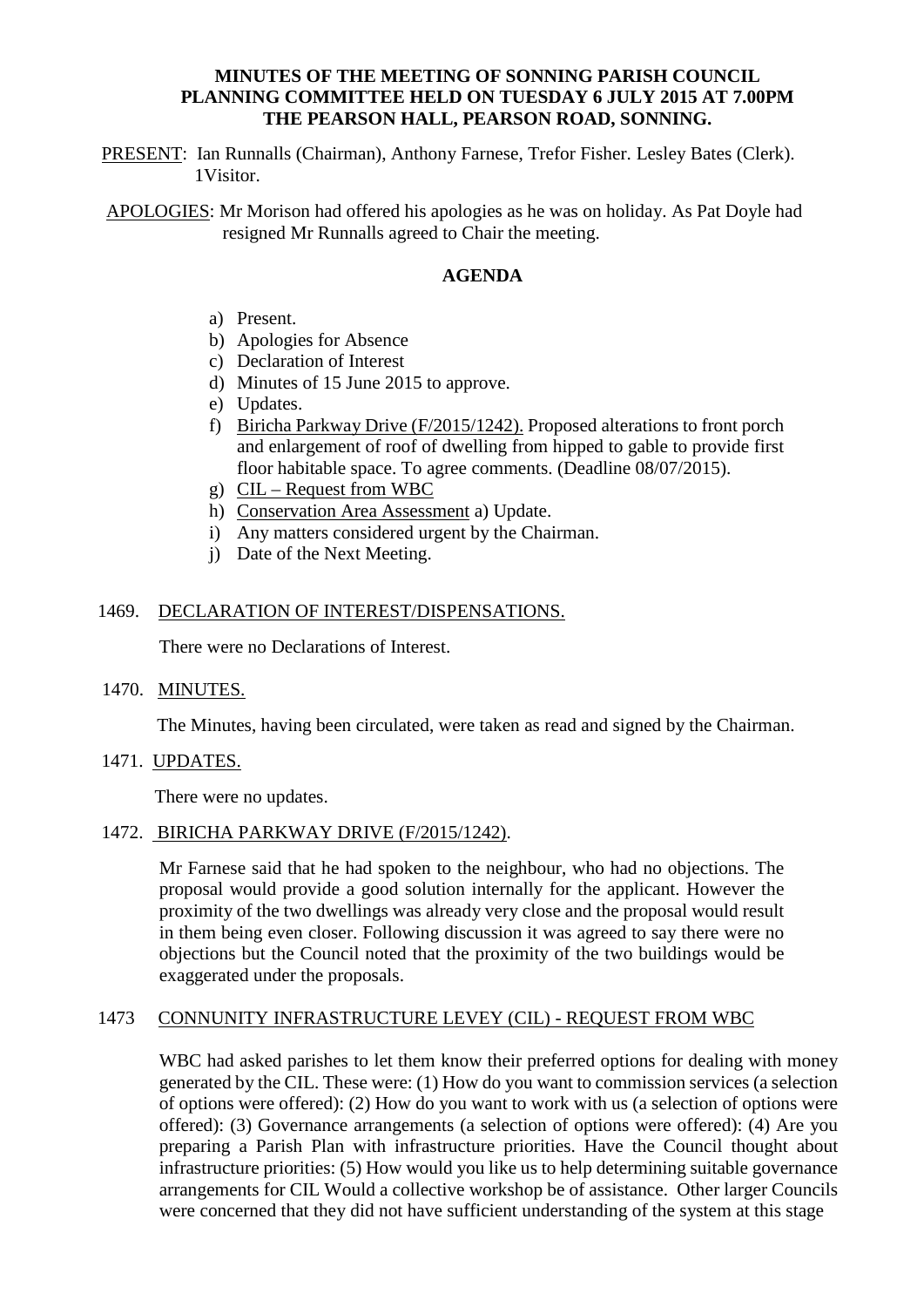# **MINUTES OF THE MEETING OF SONNING PARISH COUNCIL PLANNING COMMITTEE HELD ON TUESDAY 6 JULY 2015 AT 7.00PM THE PEARSON HALL, PEARSON ROAD, SONNING.**

PRESENT: Ian Runnalls (Chairman), Anthony Farnese, Trefor Fisher. Lesley Bates (Clerk). 1Visitor.

APOLOGIES: Mr Morison had offered his apologies as he was on holiday. As Pat Doyle had resigned Mr Runnalls agreed to Chair the meeting.

# **AGENDA**

- a) Present.
- b) Apologies for Absence
- c) Declaration of Interest
- d) Minutes of 15 June 2015 to approve.
- e) Updates.
- f) Biricha Parkway Drive (F/2015/1242). Proposed alterations to front porch and enlargement of roof of dwelling from hipped to gable to provide first floor habitable space. To agree comments. (Deadline 08/07/2015).
- g) CIL Request from WBC
- h) Conservation Area Assessment a) Update.
- i) Any matters considered urgent by the Chairman.
- j) Date of the Next Meeting.

#### 1469. DECLARATION OF INTEREST/DISPENSATIONS.

There were no Declarations of Interest.

1470. MINUTES.

The Minutes, having been circulated, were taken as read and signed by the Chairman.

1471. UPDATES.

There were no updates.

#### 1472. BIRICHA PARKWAY DRIVE (F/2015/1242).

Mr Farnese said that he had spoken to the neighbour, who had no objections. The proposal would provide a good solution internally for the applicant. However the proximity of the two dwellings was already very close and the proposal would result in them being even closer. Following discussion it was agreed to say there were no objections but the Council noted that the proximity of the two buildings would be exaggerated under the proposals.

## 1473 CONNUNITY INFRASTRUCTURE LEVEY (CIL) - REQUEST FROM WBC

WBC had asked parishes to let them know their preferred options for dealing with money generated by the CIL. These were: (1) How do you want to commission services (a selection of options were offered): (2) How do you want to work with us (a selection of options were offered): (3) Governance arrangements (a selection of options were offered): (4) Are you preparing a Parish Plan with infrastructure priorities. Have the Council thought about infrastructure priorities: (5) How would you like us to help determining suitable governance arrangements for CIL Would a collective workshop be of assistance. Other larger Councils were concerned that they did not have sufficient understanding of the system at this stage